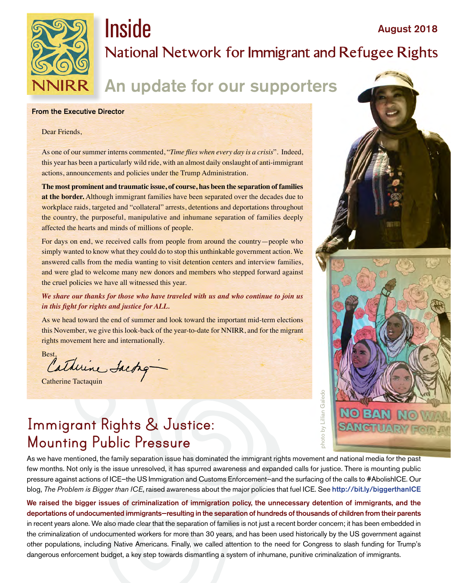

# **Inside** August 2018 **National Network for Immigrant and Refugee Rights**

# An update for our supporters

#### From the Executive Director

#### Dear Friends,

As one of our summer interns commented, "*Time flies when every day is a crisis*". Indeed, this year has been a particularly wild ride, with an almost daily onslaught of anti-immigrant actions, announcements and policies under the Trump Administration.

**The most prominent and traumatic issue, of course, has been the separation of families at the border.** Although immigrant families have been separated over the decades due to workplace raids, targeted and "collateral" arrests, detentions and deportations throughout the country, the purposeful, manipulative and inhumane separation of families deeply affected the hearts and minds of millions of people.

For days on end, we received calls from people from around the country—people who simply wanted to know what they could do to stop this unthinkable government action. We answered calls from the media wanting to visit detention centers and interview families, and were glad to welcome many new donors and members who stepped forward against the cruel policies we have all witnessed this year.

#### *We share our thanks for those who have traveled with us and who continue to join us in this fight for rights and justice for ALL.*

As we head toward the end of summer and look toward the important mid-term elections this November, we give this look-back of the year-to-date for NNIRR, and for the migrant rights movement here and internationally.

Best, atherine Sacting

Catherine Tactaquin

# **Immigrant Rights & Justice: Mounting Public Pressure**

As we have mentioned, the family separation issue has dominated the immigrant rights movement and national media for the past few months. Not only is the issue unresolved, it has spurred awareness and expanded calls for justice. There is mounting public pressure against actions of ICE—the US Immigration and Customs Enforcement—and the surfacing of the calls to #AbolishICE. Our blog, *The Problem is Bigger than ICE*, raised awareness about the major policies that fuel ICE. See [http://bit.ly/biggerthanICE](http://bit.ly/biggerthanICE )

We raised the bigger issues of criminalization of immigration policy, the unnecessary detention of immigrants, and the deportations of undocumented immigrants—resulting in the separation of hundreds of thousands of children from their parents in recent years alone. We also made clear that the separation of families is not just a recent border concern; it has been embedded in the criminalization of undocumented workers for more than 30 years, and has been used historically by the US government against other populations, including Native Americans. Finally, we called attention to the need for Congress to slash funding for Trump's dangerous enforcement budget, a key step towards dismantling a system of inhumane, punitive criminalization of immigrants.



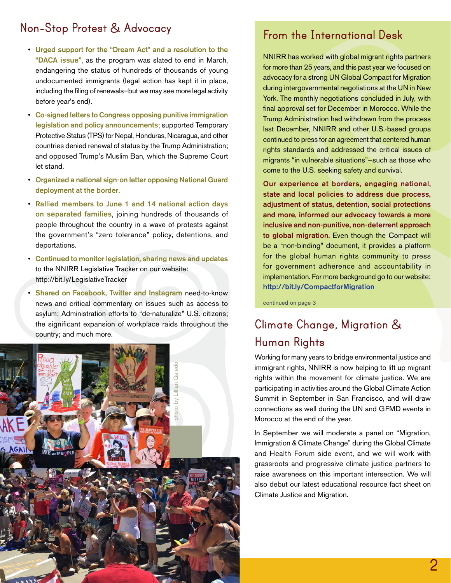### **Non-Stop Protest & Advocacy**

- Urged support for the "Dream Act" and a resolution to the "DACA issue", as the program was slated to end in March, endangering the status of hundreds of thousands of young undocumented immigrants (legal action has kept it in place, including the filing of renewals—but we may see more legal activity before year's end).
- Co-signed letters to Congress opposing punitive immigration legislation and policy announcements; supported Temporary Protective Status (TPS) for Nepal, Honduras, Nicaragua, and other countries denied renewal of status by the Trump Administration; and opposed Trump's Muslim Ban, which the Supreme Court let stand.
- Organized a national sign-on letter opposing National Guard deployment at the border.
- Rallied members to June 1 and 14 national action days on separated families, joining hundreds of thousands of people throughout the country in a wave of protests against the government's "zero tolerance" policy, detentions, and deportations.
- Continued to monitor legislation, sharing news and updates to the NNIRR Legislative Tracker on our website: <http://bit.ly/LegislativeTracker>
- Shared on Facebook, Twitter and Instagram need-to-know news and critical commentary on issues such as access to asylum; Administration efforts to "de-naturalize" U.S. citizens; the significant expansion of workplace raids throughout the country; and much more.



#### **From the International Desk**

NNIRR has worked with global migrant rights partners for more than 25 years, and this past year we focused on advocacy for a strong UN Global Compact for Migration during intergovernmental negotiations at the UN in New York. The monthly negotiations concluded in July, with final approval set for December in Morocco. While the Trump Administration had withdrawn from the process last December, NNIRR and other U.S.-based groups continued to press for an agreement that centered human rights standards and addressed the critical issues of migrants "in vulnerable situations"—such as those who come to the U.S. seeking safety and survival.

Our experience at borders, engaging national, state and local policies to address due process, adjustment of status, detention, social protections and more, informed our advocacy towards a more inclusive and non-punitive, non-deterrent approach to global migration. Even though the Compact will be a "non-binding" document, it provides a platform for the global human rights community to press for government adherence and accountability in implementation. For more background go to our website: <http://bit.ly/CompactforMigration>

continued on page 3

## **Climate Change, Migration & Human Rights**

Working for many years to bridge environmental justice and immigrant rights, NNIRR is now helping to lift up migrant rights within the movement for climate justice. We are participating in activities around the Global Climate Action Summit in September in San Francisco, and will draw connections as well during the UN and GFMD events in Morocco at the end of the year.

In September we will moderate a panel on "Migration, Immigration & Climate Change" during the Global Climate and Health Forum side event, and we will work with grassroots and progressive climate justice partners to raise awareness on this important intersection. We will also debut our latest educational resource fact sheet on Climate Justice and Migration.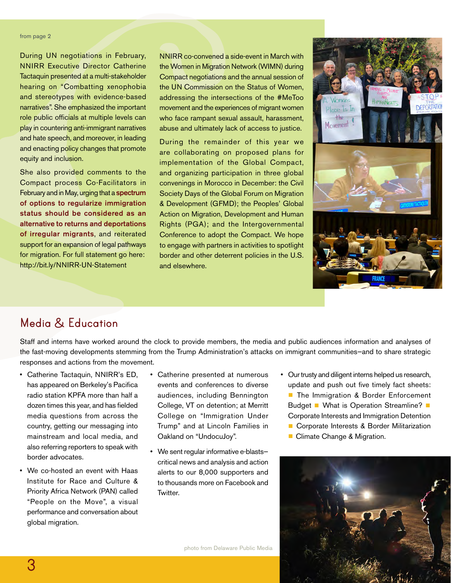#### from page 2

During UN negotiations in February, NNIRR Executive Director Catherine Tactaquin presented at a multi-stakeholder hearing on "Combatting xenophobia and stereotypes with evidence-based narratives". She emphasized the important role public officials at multiple levels can play in countering anti-immigrant narratives and hate speech, and moreover, in leading and enacting policy changes that promote equity and inclusion.

She also provided comments to the Compact process Co-Facilitators in February and in May, urging that a spectrum of options to regularize immigration status should be considered as an alternative to returns and deportations of irregular migrants, and reiterated support for an expansion of legal pathways for migration. For full statement go here: <http://bit.ly/NNIRR-UN-Statement>

NNIRR co-convened a side-event in March with the Women in Migration Network (WIMN) during Compact negotiations and the annual session of the UN Commission on the Status of Women, addressing the intersections of the #MeToo movement and the experiences of migrant women who face rampant sexual assault, harassment, abuse and ultimately lack of access to justice.

During the remainder of this year we are collaborating on proposed plans for implementation of the Global Compact, and organizing participation in three global convenings in Morocco in December: the Civil Society Days of the Global Forum on Migration & Development (GFMD); the Peoples' Global Action on Migration, Development and Human Rights (PGA); and the Intergovernmental Conference to adopt the Compact. We hope to engage with partners in activities to spotlight border and other deterrent policies in the U.S. and elsewhere.



#### **Media & Education**

Staff and interns have worked around the clock to provide members, the media and public audiences information and analyses of the fast-moving developments stemming from the Trump Administration's attacks on immigrant communities—and to share strategic responses and actions from the movement.

- Catherine Tactaquin, NNIRR's ED, has appeared on Berkeley's Pacifica radio station KPFA more than half a dozen times this year, and has fielded media questions from across the country, getting our messaging into mainstream and local media, and also referring reporters to speak with border advocates.
- We co-hosted an event with Haas Institute for Race and Culture & Priority Africa Network (PAN) called "People on the Move", a visual performance and conversation about global migration.
- Catherine presented at numerous events and conferences to diverse audiences, including Bennington College, VT on detention; at Merritt College on "Immigration Under Trump" and at Lincoln Families in Oakland on "UndocuJoy".
- We sent regular informative e-blasts critical news and analysis and action alerts to our 8,000 supporters and to thousands more on Facebook and **Twitter**
- Our trusty and diligent interns helped us research, update and push out five timely fact sheets: ■ The Immigration & Border Enforcement Budget ∎ What is Operation Streamline? ∎ Corporate Interests and Immigration Detention
	- Corporate Interests & Border Militarization
	- Climate Change & Migration.